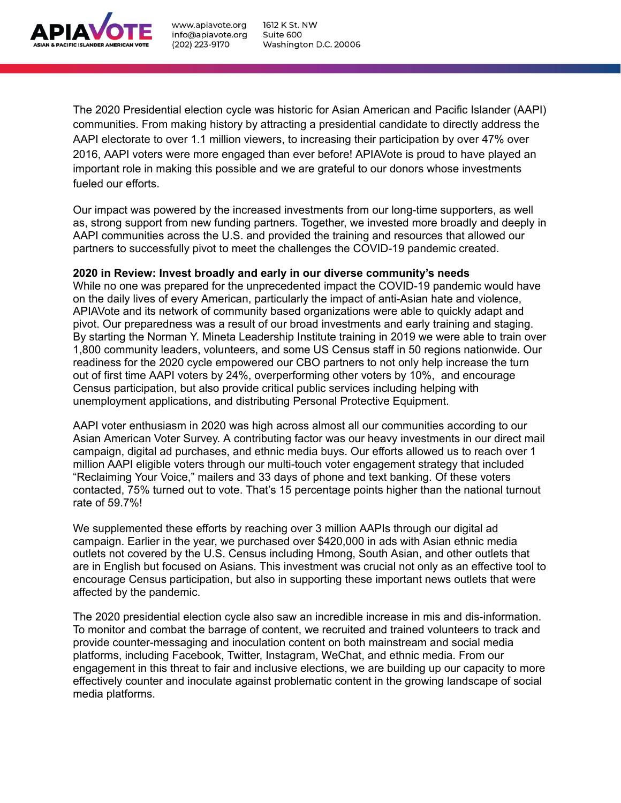

The 2020 Presidential election cycle was historic for Asian American and Pacific Islander (AAPI) communities. From making history by attracting a presidential candidate to directly address the AAPI electorate to over 1.1 million viewers, to increasing their participation by over 47% over 2016, AAPI voters were more engaged than ever before! APIAVote is proud to have played an important role in making this possible and we are grateful to our donors whose investments fueled our efforts.

Our impact was powered by the increased investments from our long-time supporters, as well as, strong support from new funding partners. Together, we invested more broadly and deeply in AAPI communities across the U.S. and provided the training and resources that allowed our partners to successfully pivot to meet the challenges the COVID-19 pandemic created.

## **2020 in Review: Invest broadly and early in our diverse community's needs**

While no one was prepared for the unprecedented impact the COVID-19 pandemic would have on the daily lives of every American, particularly the impact of anti-Asian hate and violence, APIAVote and its network of community based organizations were able to quickly adapt and pivot. Our preparedness was a result of our broad investments and early training and staging. By starting the Norman Y. Mineta Leadership Institute training in 2019 we were able to train over 1,800 community leaders, volunteers, and some US Census staff in 50 regions nationwide. Our readiness for the 2020 cycle empowered our CBO partners to not only help increase the turn out of first time AAPI voters by 24%, overperforming other voters by 10%, and encourage Census participation, but also provide critical public services including helping with unemployment applications, and distributing Personal Protective Equipment.

AAPI voter enthusiasm in 2020 was high across almost all our communities according to our Asian American Voter Survey. A contributing factor was our heavy investments in our direct mail campaign, digital ad purchases, and ethnic media buys. Our efforts allowed us to reach over 1 million AAPI eligible voters through our multi-touch voter engagement strategy that included "Reclaiming Your Voice," mailers and 33 days of phone and text banking. Of these voters contacted, 75% turned out to vote. That's 15 percentage points higher than the national turnout rate of 59.7%!

We supplemented these efforts by reaching over 3 million AAPIs through our digital ad campaign. Earlier in the year, we purchased over \$420,000 in ads with Asian ethnic media outlets not covered by the U.S. Census including Hmong, South Asian, and other outlets that are in English but focused on Asians. This investment was crucial not only as an effective tool to encourage Census participation, but also in supporting these important news outlets that were affected by the pandemic.

The 2020 presidential election cycle also saw an incredible increase in mis and dis-information. To monitor and combat the barrage of content, we recruited and trained volunteers to track and provide counter-messaging and inoculation content on both mainstream and social media platforms, including Facebook, Twitter, Instagram, WeChat, and ethnic media. From our engagement in this threat to fair and inclusive elections, we are building up our capacity to more effectively counter and inoculate against problematic content in the growing landscape of social media platforms.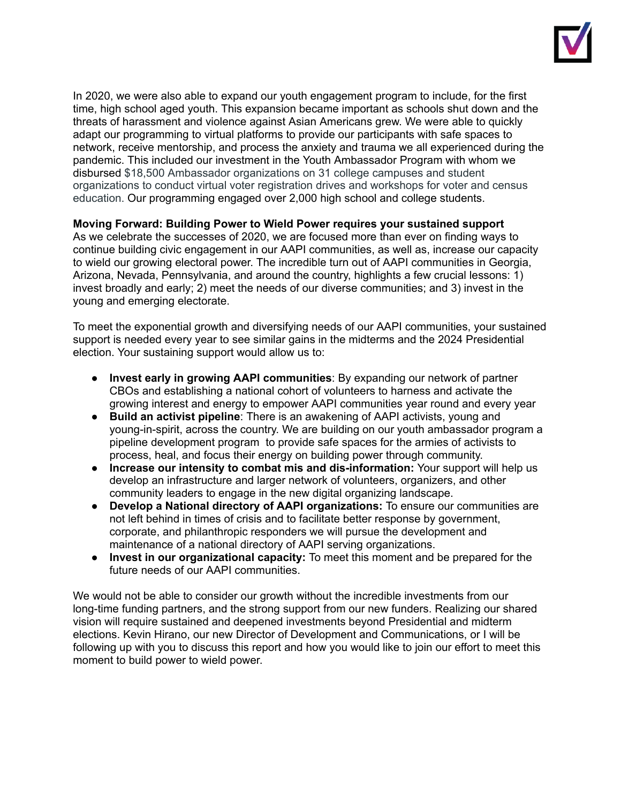

In 2020, we were also able to expand our youth engagement program to include, for the first time, high school aged youth. This expansion became important as schools shut down and the threats of harassment and violence against Asian Americans grew. We were able to quickly adapt our programming to virtual platforms to provide our participants with safe spaces to network, receive mentorship, and process the anxiety and trauma we all experienced during the pandemic. This included our investment in the Youth Ambassador Program with whom we disbursed \$18,500 Ambassador organizations on 31 college campuses and student organizations to conduct virtual voter registration drives and workshops for voter and census education. Our programming engaged over 2,000 high school and college students.

## **Moving Forward: Building Power to Wield Power requires your sustained support**

As we celebrate the successes of 2020, we are focused more than ever on finding ways to continue building civic engagement in our AAPI communities, as well as, increase our capacity to wield our growing electoral power. The incredible turn out of AAPI communities in Georgia, Arizona, Nevada, Pennsylvania, and around the country, highlights a few crucial lessons: 1) invest broadly and early; 2) meet the needs of our diverse communities; and 3) invest in the young and emerging electorate.

To meet the exponential growth and diversifying needs of our AAPI communities, your sustained support is needed every year to see similar gains in the midterms and the 2024 Presidential election. Your sustaining support would allow us to:

- **Invest early in growing AAPI communities**: By expanding our network of partner CBOs and establishing a national cohort of volunteers to harness and activate the growing interest and energy to empower AAPI communities year round and every year
- **Build an activist pipeline**: There is an awakening of AAPI activists, young and young-in-spirit, across the country. We are building on our youth ambassador program a pipeline development program to provide safe spaces for the armies of activists to process, heal, and focus their energy on building power through community.
- **Increase our intensity to combat mis and dis-information:** Your support will help us develop an infrastructure and larger network of volunteers, organizers, and other community leaders to engage in the new digital organizing landscape.
- **Develop a National directory of AAPI organizations:** To ensure our communities are not left behind in times of crisis and to facilitate better response by government, corporate, and philanthropic responders we will pursue the development and maintenance of a national directory of AAPI serving organizations.
- **Invest in our organizational capacity:** To meet this moment and be prepared for the future needs of our AAPI communities.

We would not be able to consider our growth without the incredible investments from our long-time funding partners, and the strong support from our new funders. Realizing our shared vision will require sustained and deepened investments beyond Presidential and midterm elections. Kevin Hirano, our new Director of Development and Communications, or I will be following up with you to discuss this report and how you would like to join our effort to meet this moment to build power to wield power.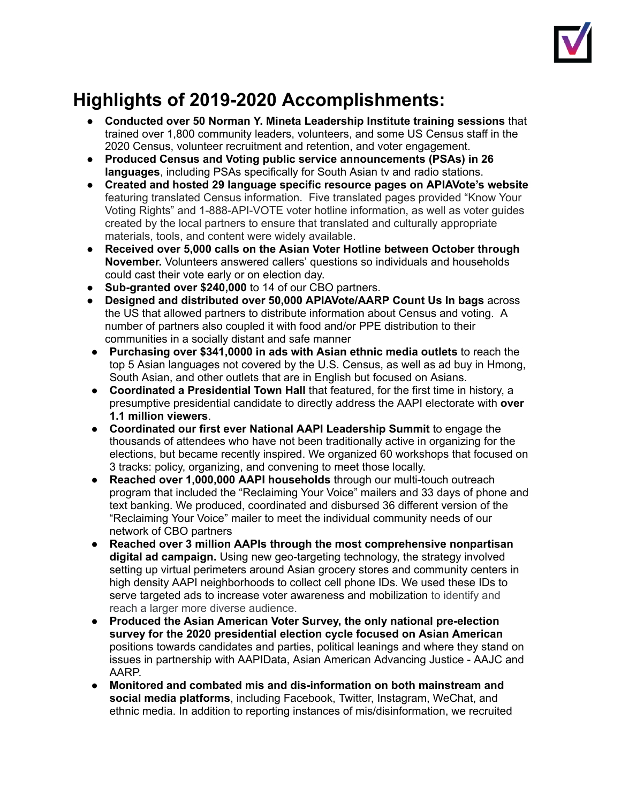

## **Highlights of 2019-2020 Accomplishments:**

- **Conducted over 50 Norman Y. Mineta Leadership Institute training sessions** that trained over 1,800 community leaders, volunteers, and some US Census staff in the 2020 Census, volunteer recruitment and retention, and voter engagement.
- **Produced Census and Voting public service announcements (PSAs) in 26 languages**, including PSAs specifically for South Asian tv and radio stations.
- **Created and hosted 29 language specific resource pages on APIAVote's website** featuring translated Census information. Five translated pages provided "Know Your Voting Rights" and 1-888-API-VOTE voter hotline information, as well as voter guides created by the local partners to ensure that translated and culturally appropriate materials, tools, and content were widely available.
- **Received over 5,000 calls on the Asian Voter Hotline between October through November.** Volunteers answered callers' questions so individuals and households could cast their vote early or on election day.
- **Sub-granted over \$240,000** to 14 of our CBO partners.
- **Designed and distributed over 50,000 APIAVote/AARP Count Us In bags** across the US that allowed partners to distribute information about Census and voting. A number of partners also coupled it with food and/or PPE distribution to their communities in a socially distant and safe manner
- **Purchasing over \$341,0000 in ads with Asian ethnic media outlets** to reach the top 5 Asian languages not covered by the U.S. Census, as well as ad buy in Hmong, South Asian, and other outlets that are in English but focused on Asians.
- **Coordinated a Presidential Town Hall** that featured, for the first time in history, a presumptive presidential candidate to directly address the AAPI electorate with **over 1.1 million viewers**.
- **Coordinated our first ever National AAPI Leadership Summit** to engage the thousands of attendees who have not been traditionally active in organizing for the elections, but became recently inspired. We organized 60 workshops that focused on 3 tracks: policy, organizing, and convening to meet those locally.
- **Reached over 1,000,000 AAPI households** through our multi-touch outreach program that included the "Reclaiming Your Voice" mailers and 33 days of phone and text banking. We produced, coordinated and disbursed 36 different version of the "Reclaiming Your Voice" mailer to meet the individual community needs of our network of CBO partners
- **Reached over 3 million AAPIs through the most comprehensive nonpartisan digital ad campaign.** Using new geo-targeting technology, the strategy involved setting up virtual perimeters around Asian grocery stores and community centers in high density AAPI neighborhoods to collect cell phone IDs. We used these IDs to serve targeted ads to increase voter awareness and mobilization to identify and reach a larger more diverse audience.
- **Produced the Asian American Voter Survey, the only national pre-election survey for the 2020 presidential election cycle focused on Asian American** positions towards candidates and parties, political leanings and where they stand on issues in partnership with AAPIData, Asian American Advancing Justice - AAJC and AARP.
- **Monitored and combated mis and dis-information on both mainstream and social media platforms**, including Facebook, Twitter, Instagram, WeChat, and ethnic media. In addition to reporting instances of mis/disinformation, we recruited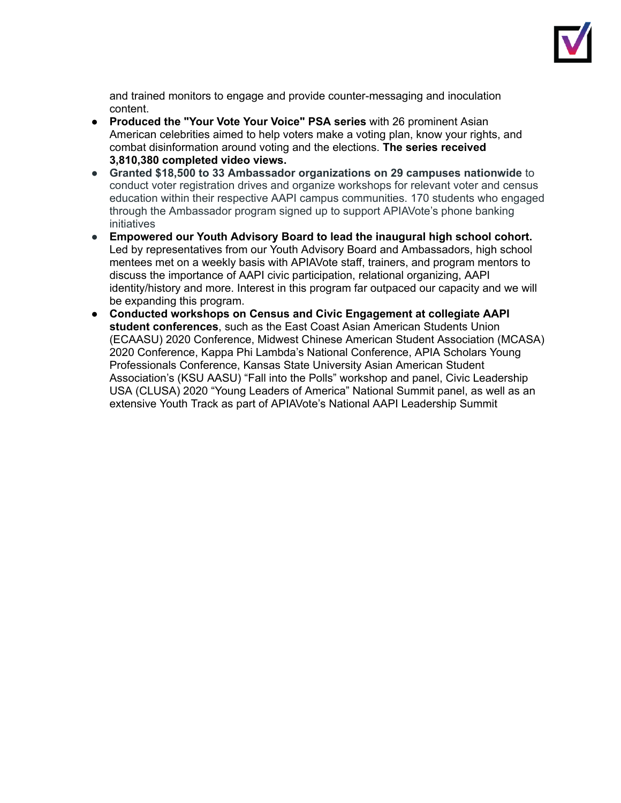

and trained monitors to engage and provide counter-messaging and inoculation content.

- **Produced the "Your Vote Your Voice" PSA series** with 26 prominent Asian American celebrities aimed to help voters make a voting plan, know your rights, and combat disinformation around voting and the elections. **The series received 3,810,380 completed video views.**
- **Granted \$18,500 to 33 Ambassador organizations on 29 campuses nationwide** to conduct voter registration drives and organize workshops for relevant voter and census education within their respective AAPI campus communities. 170 students who engaged through the Ambassador program signed up to support APIAVote's phone banking initiatives
- **Empowered our Youth Advisory Board to lead the inaugural high school cohort.** Led by representatives from our Youth Advisory Board and Ambassadors, high school mentees met on a weekly basis with APIAVote staff, trainers, and program mentors to discuss the importance of AAPI civic participation, relational organizing, AAPI identity/history and more. Interest in this program far outpaced our capacity and we will be expanding this program.
- **Conducted workshops on Census and Civic Engagement at collegiate AAPI student conferences**, such as the East Coast Asian American Students Union (ECAASU) 2020 Conference, Midwest Chinese American Student Association (MCASA) 2020 Conference, Kappa Phi Lambda's National Conference, APIA Scholars Young Professionals Conference, Kansas State University Asian American Student Association's (KSU AASU) "Fall into the Polls" workshop and panel, Civic Leadership USA (CLUSA) 2020 "Young Leaders of America" National Summit panel, as well as an extensive Youth Track as part of APIAVote's National AAPI Leadership Summit